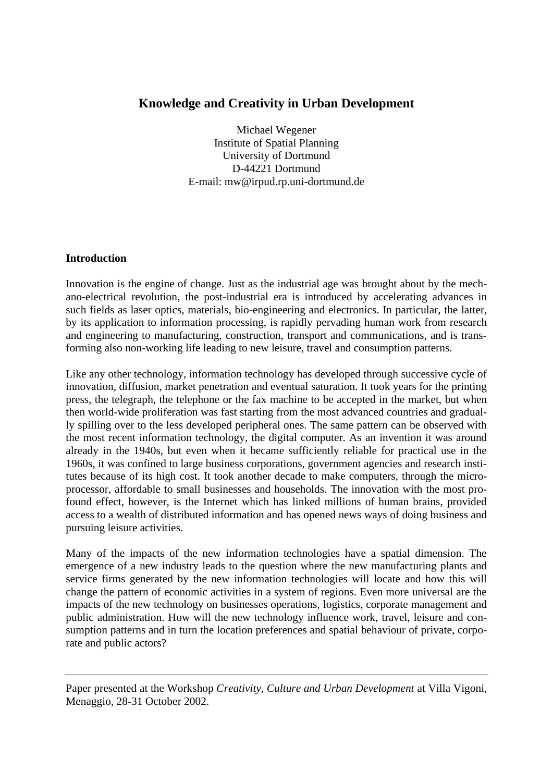# **Knowledge and Creativity in Urban Development**

Michael Wegener Institute of Spatial Planning University of Dortmund D-44221 Dortmund E-mail: mw@irpud.rp.uni-dortmund.de

### **Introduction**

Innovation is the engine of change. Just as the industrial age was brought about by the mechano-electrical revolution, the post-industrial era is introduced by accelerating advances in such fields as laser optics, materials, bio-engineering and electronics. In particular, the latter, by its application to information processing, is rapidly pervading human work from research and engineering to manufacturing, construction, transport and communications, and is transforming also non-working life leading to new leisure, travel and consumption patterns.

Like any other technology, information technology has developed through successive cycle of innovation, diffusion, market penetration and eventual saturation. It took years for the printing press, the telegraph, the telephone or the fax machine to be accepted in the market, but when then world-wide proliferation was fast starting from the most advanced countries and gradually spilling over to the less developed peripheral ones. The same pattern can be observed with the most recent information technology, the digital computer. As an invention it was around already in the 1940s, but even when it became sufficiently reliable for practical use in the 1960s, it was confined to large business corporations, government agencies and research institutes because of its high cost. It took another decade to make computers, through the microprocessor, affordable to small businesses and households. The innovation with the most profound effect, however, is the Internet which has linked millions of human brains, provided access to a wealth of distributed information and has opened news ways of doing business and pursuing leisure activities.

Many of the impacts of the new information technologies have a spatial dimension. The emergence of a new industry leads to the question where the new manufacturing plants and service firms generated by the new information technologies will locate and how this will change the pattern of economic activities in a system of regions. Even more universal are the impacts of the new technology on businesses operations, logistics, corporate management and public administration. How will the new technology influence work, travel, leisure and consumption patterns and in turn the location preferences and spatial behaviour of private, corporate and public actors?

Paper presented at the Workshop *Creativity, Culture and Urban Development* at Villa Vigoni, Menaggio, 28-31 October 2002.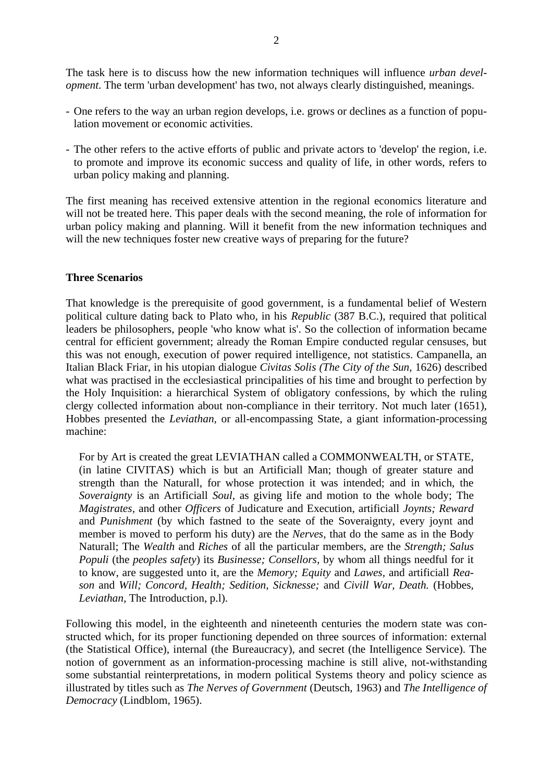The task here is to discuss how the new information techniques will influence *urban development*. The term 'urban development' has two, not always clearly distinguished, meanings.

- One refers to the way an urban region develops, i.e. grows or declines as a function of population movement or economic activities.
- The other refers to the active efforts of public and private actors to 'develop' the region, i.e. to promote and improve its economic success and quality of life, in other words, refers to urban policy making and planning.

The first meaning has received extensive attention in the regional economics literature and will not be treated here. This paper deals with the second meaning, the role of information for urban policy making and planning. Will it benefit from the new information techniques and will the new techniques foster new creative ways of preparing for the future?

#### **Three Scenarios**

That knowledge is the prerequisite of good government, is a fundamental belief of Western political culture dating back to Plato who, in his *Republic* (387 B.C.), required that political leaders be philosophers, people 'who know what is'. So the collection of information became central for efficient government; already the Roman Empire conducted regular censuses, but this was not enough, execution of power required intelligence, not statistics. Campanella, an Italian Black Friar, in his utopian dialogue *Civitas Solis (The City of the Sun,* 1626) described what was practised in the ecclesiastical principalities of his time and brought to perfection by the Holy Inquisition: a hierarchical System of obligatory confessions, by which the ruling clergy collected information about non-compliance in their territory. Not much later (1651), Hobbes presented the *Leviathan,* or all-encompassing State, a giant information-processing machine:

For by Art is created the great LEVIATHAN called a COMMONWEALTH, or STATE, (in latine CIVITAS) which is but an Artificiall Man; though of greater stature and strength than the Naturall, for whose protection it was intended; and in which, the *Soveraignty* is an Artificiall *Soul,* as giving life and motion to the whole body; The *Magistrates,* and other *Officers* of Judicature and Execution, artificiall *Joynts; Reward*  and *Punishment* (by which fastned to the seate of the Soveraignty, every joynt and member is moved to perform his duty) are the *Nerves,* that do the same as in the Body Naturall; The *Wealth* and *Riches* of all the particular members, are the *Strength; Salus Populi* (the *peoples safety*) its *Businesse; Consellors,* by whom all things needful for it to know, are suggested unto it, are the *Memory; Equity* and *Lawes,* and artificiall *Reason* and *Will; Concord, Health; Sedition, Sicknesse;* and *Civill War, Death.* (Hobbes, *Leviathan,* The Introduction, p.l).

Following this model, in the eighteenth and nineteenth centuries the modern state was constructed which, for its proper functioning depended on three sources of information: external (the Statistical Office), internal (the Bureaucracy), and secret (the Intelligence Service). The notion of government as an information-processing machine is still alive, not-withstanding some substantial reinterpretations, in modern political Systems theory and policy science as illustrated by titles such as *The Nerves of Government* (Deutsch, 1963) and *The Intelligence of Democracy* (Lindblom, 1965).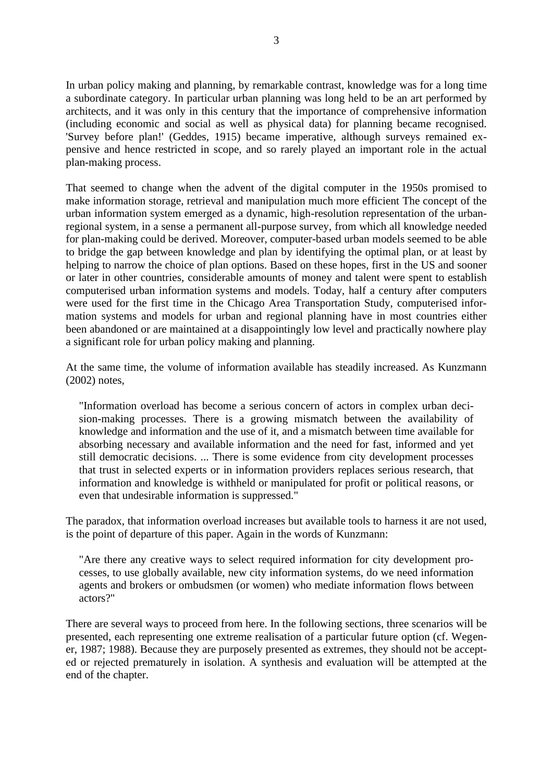In urban policy making and planning, by remarkable contrast, knowledge was for a long time a subordinate category. In particular urban planning was long held to be an art performed by architects, and it was only in this century that the importance of comprehensive information (including economic and social as well as physical data) for planning became recognised. 'Survey before plan!' (Geddes, 1915) became imperative, although surveys remained expensive and hence restricted in scope, and so rarely played an important role in the actual plan-making process.

That seemed to change when the advent of the digital computer in the 1950s promised to make information storage, retrieval and manipulation much more efficient The concept of the urban information system emerged as a dynamic, high-resolution representation of the urbanregional system, in a sense a permanent all-purpose survey, from which all knowledge needed for plan-making could be derived. Moreover, computer-based urban models seemed to be able to bridge the gap between knowledge and plan by identifying the optimal plan, or at least by helping to narrow the choice of plan options. Based on these hopes, first in the US and sooner or later in other countries, considerable amounts of money and talent were spent to establish computerised urban information systems and models. Today, half a century after computers were used for the first time in the Chicago Area Transportation Study, computerised information systems and models for urban and regional planning have in most countries either been abandoned or are maintained at a disappointingly low level and practically nowhere play a significant role for urban policy making and planning.

At the same time, the volume of information available has steadily increased. As Kunzmann (2002) notes,

"Information overload has become a serious concern of actors in complex urban decision-making processes. There is a growing mismatch between the availability of knowledge and information and the use of it, and a mismatch between time available for absorbing necessary and available information and the need for fast, informed and yet still democratic decisions. ... There is some evidence from city development processes that trust in selected experts or in information providers replaces serious research, that information and knowledge is withheld or manipulated for profit or political reasons, or even that undesirable information is suppressed."

The paradox, that information overload increases but available tools to harness it are not used, is the point of departure of this paper. Again in the words of Kunzmann:

"Are there any creative ways to select required information for city development processes, to use globally available, new city information systems, do we need information agents and brokers or ombudsmen (or women) who mediate information flows between actors?"

There are several ways to proceed from here. In the following sections, three scenarios will be presented, each representing one extreme realisation of a particular future option (cf. Wegener, 1987; 1988). Because they are purposely presented as extremes, they should not be accepted or rejected prematurely in isolation. A synthesis and evaluation will be attempted at the end of the chapter.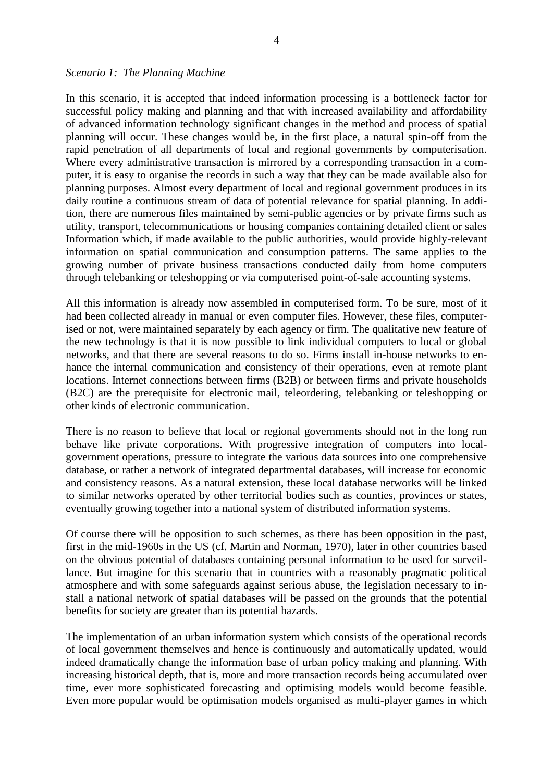#### *Scenario 1: The Planning Machine*

In this scenario, it is accepted that indeed information processing is a bottleneck factor for successful policy making and planning and that with increased availability and affordability of advanced information technology significant changes in the method and process of spatial planning will occur. These changes would be, in the first place, a natural spin-off from the rapid penetration of all departments of local and regional governments by computerisation. Where every administrative transaction is mirrored by a corresponding transaction in a computer, it is easy to organise the records in such a way that they can be made available also for planning purposes. Almost every department of local and regional government produces in its daily routine a continuous stream of data of potential relevance for spatial planning. In addition, there are numerous files maintained by semi-public agencies or by private firms such as utility, transport, telecommunications or housing companies containing detailed client or sales Information which, if made available to the public authorities, would provide highly-relevant information on spatial communication and consumption patterns. The same applies to the growing number of private business transactions conducted daily from home computers through telebanking or teleshopping or via computerised point-of-sale accounting systems.

All this information is already now assembled in computerised form. To be sure, most of it had been collected already in manual or even computer files. However, these files, computerised or not, were maintained separately by each agency or firm. The qualitative new feature of the new technology is that it is now possible to link individual computers to local or global networks, and that there are several reasons to do so. Firms install in-house networks to enhance the internal communication and consistency of their operations, even at remote plant locations. Internet connections between firms (B2B) or between firms and private households (B2C) are the prerequisite for electronic mail, teleordering, telebanking or teleshopping or other kinds of electronic communication.

There is no reason to believe that local or regional governments should not in the long run behave like private corporations. With progressive integration of computers into localgovernment operations, pressure to integrate the various data sources into one comprehensive database, or rather a network of integrated departmental databases, will increase for economic and consistency reasons. As a natural extension, these local database networks will be linked to similar networks operated by other territorial bodies such as counties, provinces or states, eventually growing together into a national system of distributed information systems.

Of course there will be opposition to such schemes, as there has been opposition in the past, first in the mid-1960s in the US (cf. Martin and Norman, 1970), later in other countries based on the obvious potential of databases containing personal information to be used for surveillance. But imagine for this scenario that in countries with a reasonably pragmatic political atmosphere and with some safeguards against serious abuse, the legislation necessary to install a national network of spatial databases will be passed on the grounds that the potential benefits for society are greater than its potential hazards.

The implementation of an urban information system which consists of the operational records of local government themselves and hence is continuously and automatically updated, would indeed dramatically change the information base of urban policy making and planning. With increasing historical depth, that is, more and more transaction records being accumulated over time, ever more sophisticated forecasting and optimising models would become feasible. Even more popular would be optimisation models organised as multi-player games in which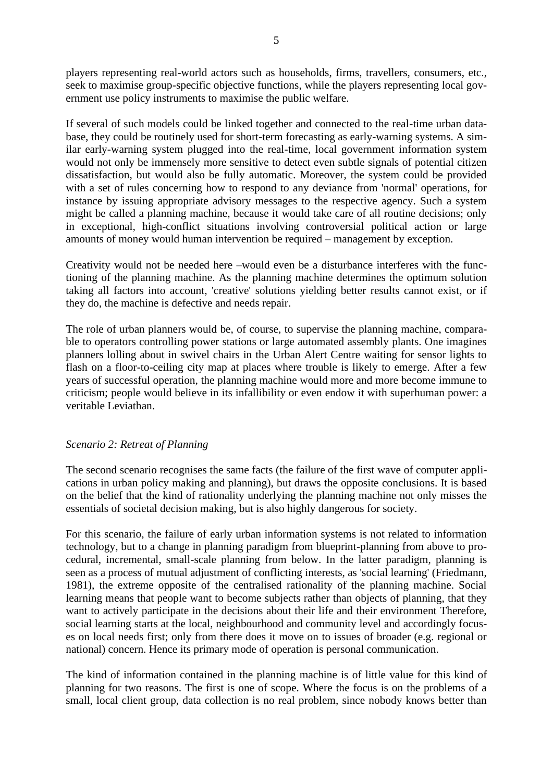players representing real-world actors such as households, firms, travellers, consumers, etc., seek to maximise group-specific objective functions, while the players representing local government use policy instruments to maximise the public welfare.

If several of such models could be linked together and connected to the real-time urban database, they could be routinely used for short-term forecasting as early-warning systems. A similar early-warning system plugged into the real-time, local government information system would not only be immensely more sensitive to detect even subtle signals of potential citizen dissatisfaction, but would also be fully automatic. Moreover, the system could be provided with a set of rules concerning how to respond to any deviance from 'normal' operations, for instance by issuing appropriate advisory messages to the respective agency. Such a system might be called a planning machine, because it would take care of all routine decisions; only in exceptional, high-conflict situations involving controversial political action or large amounts of money would human intervention be required – management by exception.

Creativity would not be needed here –would even be a disturbance interferes with the functioning of the planning machine. As the planning machine determines the optimum solution taking all factors into account, 'creative' solutions yielding better results cannot exist, or if they do, the machine is defective and needs repair.

The role of urban planners would be, of course, to supervise the planning machine, comparable to operators controlling power stations or large automated assembly plants. One imagines planners lolling about in swivel chairs in the Urban Alert Centre waiting for sensor lights to flash on a floor-to-ceiling city map at places where trouble is likely to emerge. After a few years of successful operation, the planning machine would more and more become immune to criticism; people would believe in its infallibility or even endow it with superhuman power: a veritable Leviathan.

#### *Scenario 2: Retreat of Planning*

The second scenario recognises the same facts (the failure of the first wave of computer applications in urban policy making and planning), but draws the opposite conclusions. It is based on the belief that the kind of rationality underlying the planning machine not only misses the essentials of societal decision making, but is also highly dangerous for society.

For this scenario, the failure of early urban information systems is not related to information technology, but to a change in planning paradigm from blueprint-planning from above to procedural, incremental, small-scale planning from below. In the latter paradigm, planning is seen as a process of mutual adjustment of conflicting interests, as 'social learning' (Friedmann, 1981), the extreme opposite of the centralised rationality of the planning machine. Social learning means that people want to become subjects rather than objects of planning, that they want to actively participate in the decisions about their life and their environment Therefore, social learning starts at the local, neighbourhood and community level and accordingly focuses on local needs first; only from there does it move on to issues of broader (e.g. regional or national) concern. Hence its primary mode of operation is personal communication.

The kind of information contained in the planning machine is of little value for this kind of planning for two reasons. The first is one of scope. Where the focus is on the problems of a small, local client group, data collection is no real problem, since nobody knows better than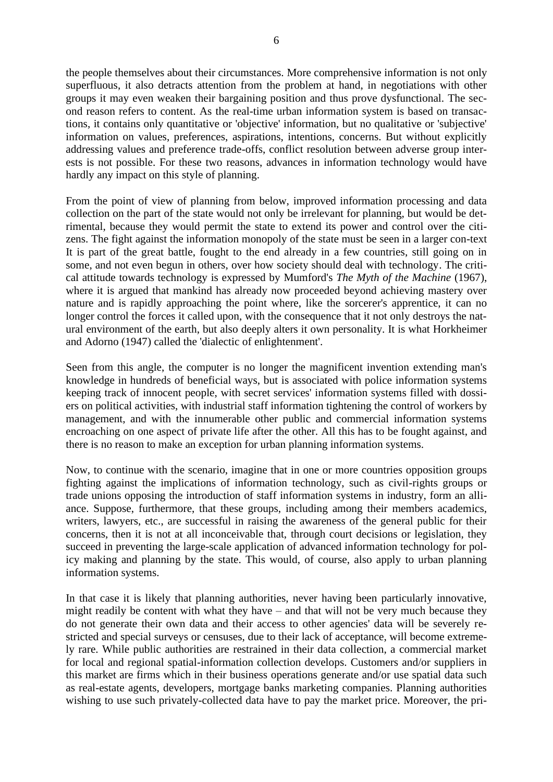the people themselves about their circumstances. More comprehensive information is not only superfluous, it also detracts attention from the problem at hand, in negotiations with other groups it may even weaken their bargaining position and thus prove dysfunctional. The second reason refers to content. As the real-time urban information system is based on transactions, it contains only quantitative or 'objective' information, but no qualitative or 'subjective' information on values, preferences, aspirations, intentions, concerns. But without explicitly addressing values and preference trade-offs, conflict resolution between adverse group interests is not possible. For these two reasons, advances in information technology would have hardly any impact on this style of planning.

From the point of view of planning from below, improved information processing and data collection on the part of the state would not only be irrelevant for planning, but would be detrimental, because they would permit the state to extend its power and control over the citizens. The fight against the information monopoly of the state must be seen in a larger con-text It is part of the great battle, fought to the end already in a few countries, still going on in some, and not even begun in others, over how society should deal with technology. The critical attitude towards technology is expressed by Mumford's *The Myth of the Machine* (1967), where it is argued that mankind has already now proceeded beyond achieving mastery over nature and is rapidly approaching the point where, like the sorcerer's apprentice, it can no longer control the forces it called upon, with the consequence that it not only destroys the natural environment of the earth, but also deeply alters it own personality. It is what Horkheimer and Adorno (1947) called the 'dialectic of enlightenment'.

Seen from this angle, the computer is no longer the magnificent invention extending man's knowledge in hundreds of beneficial ways, but is associated with police information systems keeping track of innocent people, with secret services' information systems filled with dossiers on political activities, with industrial staff information tightening the control of workers by management, and with the innumerable other public and commercial information systems encroaching on one aspect of private life after the other. All this has to be fought against, and there is no reason to make an exception for urban planning information systems.

Now, to continue with the scenario, imagine that in one or more countries opposition groups fighting against the implications of information technology, such as civil-rights groups or trade unions opposing the introduction of staff information systems in industry, form an alliance. Suppose, furthermore, that these groups, including among their members academics, writers, lawyers, etc., are successful in raising the awareness of the general public for their concerns, then it is not at all inconceivable that, through court decisions or legislation, they succeed in preventing the large-scale application of advanced information technology for policy making and planning by the state. This would, of course, also apply to urban planning information systems.

In that case it is likely that planning authorities, never having been particularly innovative, might readily be content with what they have – and that will not be very much because they do not generate their own data and their access to other agencies' data will be severely restricted and special surveys or censuses, due to their lack of acceptance, will become extremely rare. While public authorities are restrained in their data collection, a commercial market for local and regional spatial-information collection develops. Customers and/or suppliers in this market are firms which in their business operations generate and/or use spatial data such as real-estate agents, developers, mortgage banks marketing companies. Planning authorities wishing to use such privately-collected data have to pay the market price. Moreover, the pri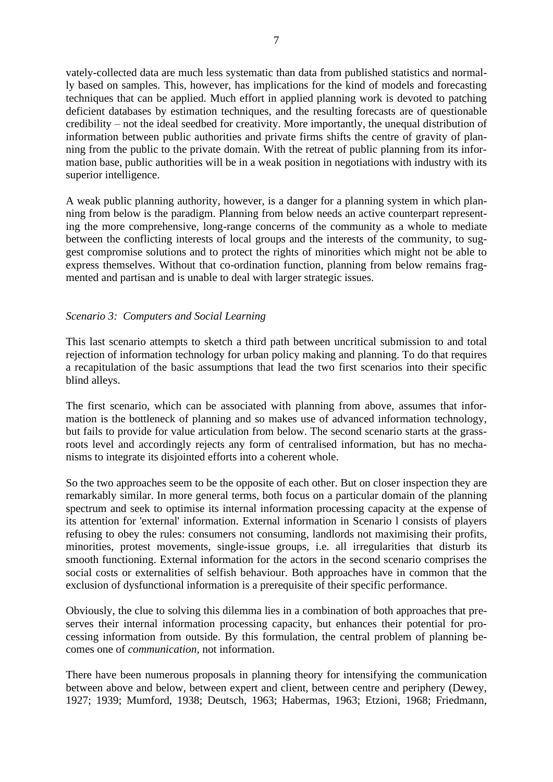vately-collected data are much less systematic than data from published statistics and normally based on samples. This, however, has implications for the kind of models and forecasting techniques that can be applied. Much effort in applied planning work is devoted to patching deficient databases by estimation techniques, and the resulting forecasts are of questionable credibility – not the ideal seedbed for creativity. More importantly, the unequal distribution of information between public authorities and private firms shifts the centre of gravity of planning from the public to the private domain. With the retreat of public planning from its information base, public authorities will be in a weak position in negotiations with industry with its superior intelligence.

A weak public planning authority, however, is a danger for a planning system in which planning from below is the paradigm. Planning from below needs an active counterpart representing the more comprehensive, long-range concerns of the community as a whole to mediate between the conflicting interests of local groups and the interests of the community, to suggest compromise solutions and to protect the rights of minorities which might not be able to express themselves. Without that co-ordination function, planning from below remains fragmented and partisan and is unable to deal with larger strategic issues.

## *Scenario 3: Computers and Social Learning*

This last scenario attempts to sketch a third path between uncritical submission to and total rejection of information technology for urban policy making and planning. To do that requires a recapitulation of the basic assumptions that lead the two first scenarios into their specific blind alleys.

The first scenario, which can be associated with planning from above, assumes that information is the bottleneck of planning and so makes use of advanced information technology, but fails to provide for value articulation from below. The second scenario starts at the grassroots level and accordingly rejects any form of centralised information, but has no mechanisms to integrate its disjointed efforts into a coherent whole.

So the two approaches seem to be the opposite of each other. But on closer inspection they are remarkably similar. In more general terms, both focus on a particular domain of the planning spectrum and seek to optimise its internal information processing capacity at the expense of its attention for 'external' information. External information in Scenario l consists of players refusing to obey the rules: consumers not consuming, landlords not maximising their profits, minorities, protest movements, single-issue groups, i.e. all irregularities that disturb its smooth functioning. External information for the actors in the second scenario comprises the social costs or externalities of selfish behaviour. Both approaches have in common that the exclusion of dysfunctional information is a prerequisite of their specific performance.

Obviously, the clue to solving this dilemma lies in a combination of both approaches that preserves their internal information processing capacity, but enhances their potential for processing information from outside. By this formulation, the central problem of planning becomes one of *communication*, not information.

There have been numerous proposals in planning theory for intensifying the communication between above and below, between expert and client, between centre and periphery (Dewey, 1927; 1939; Mumford, 1938; Deutsch, 1963; Habermas, 1963; Etzioni, 1968; Friedmann,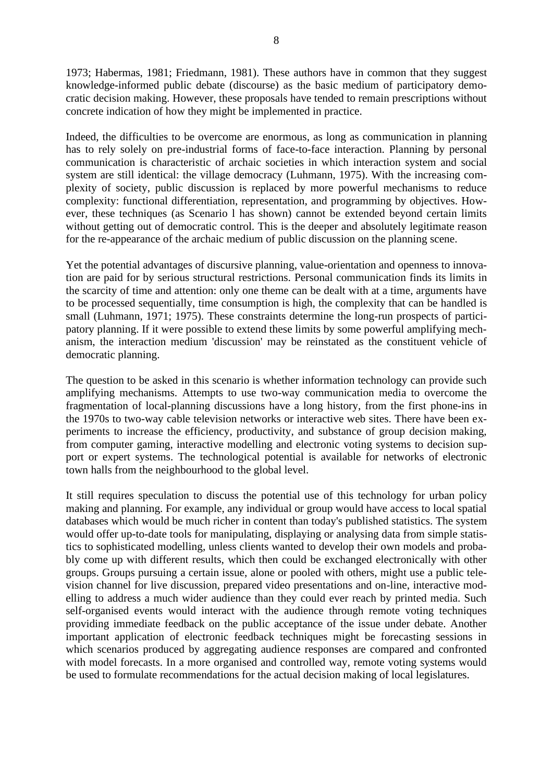1973; Habermas, 1981; Friedmann, 1981). These authors have in common that they suggest knowledge-informed public debate (discourse) as the basic medium of participatory democratic decision making. However, these proposals have tended to remain prescriptions without concrete indication of how they might be implemented in practice.

Indeed, the difficulties to be overcome are enormous, as long as communication in planning has to rely solely on pre-industrial forms of face-to-face interaction. Planning by personal communication is characteristic of archaic societies in which interaction system and social system are still identical: the village democracy (Luhmann, 1975). With the increasing complexity of society, public discussion is replaced by more powerful mechanisms to reduce complexity: functional differentiation, representation, and programming by objectives. However, these techniques (as Scenario l has shown) cannot be extended beyond certain limits without getting out of democratic control. This is the deeper and absolutely legitimate reason for the re-appearance of the archaic medium of public discussion on the planning scene.

Yet the potential advantages of discursive planning, value-orientation and openness to innovation are paid for by serious structural restrictions. Personal communication finds its limits in the scarcity of time and attention: only one theme can be dealt with at a time, arguments have to be processed sequentially, time consumption is high, the complexity that can be handled is small (Luhmann, 1971; 1975). These constraints determine the long-run prospects of participatory planning. If it were possible to extend these limits by some powerful amplifying mechanism, the interaction medium 'discussion' may be reinstated as the constituent vehicle of democratic planning.

The question to be asked in this scenario is whether information technology can provide such amplifying mechanisms. Attempts to use two-way communication media to overcome the fragmentation of local-planning discussions have a long history, from the first phone-ins in the 1970s to two-way cable television networks or interactive web sites. There have been experiments to increase the efficiency, productivity, and substance of group decision making, from computer gaming, interactive modelling and electronic voting systems to decision support or expert systems. The technological potential is available for networks of electronic town halls from the neighbourhood to the global level.

It still requires speculation to discuss the potential use of this technology for urban policy making and planning. For example, any individual or group would have access to local spatial databases which would be much richer in content than today's published statistics. The system would offer up-to-date tools for manipulating, displaying or analysing data from simple statistics to sophisticated modelling, unless clients wanted to develop their own models and probably come up with different results, which then could be exchanged electronically with other groups. Groups pursuing a certain issue, alone or pooled with others, might use a public television channel for live discussion, prepared video presentations and on-line, interactive modelling to address a much wider audience than they could ever reach by printed media. Such self-organised events would interact with the audience through remote voting techniques providing immediate feedback on the public acceptance of the issue under debate. Another important application of electronic feedback techniques might be forecasting sessions in which scenarios produced by aggregating audience responses are compared and confronted with model forecasts. In a more organised and controlled way, remote voting systems would be used to formulate recommendations for the actual decision making of local legislatures.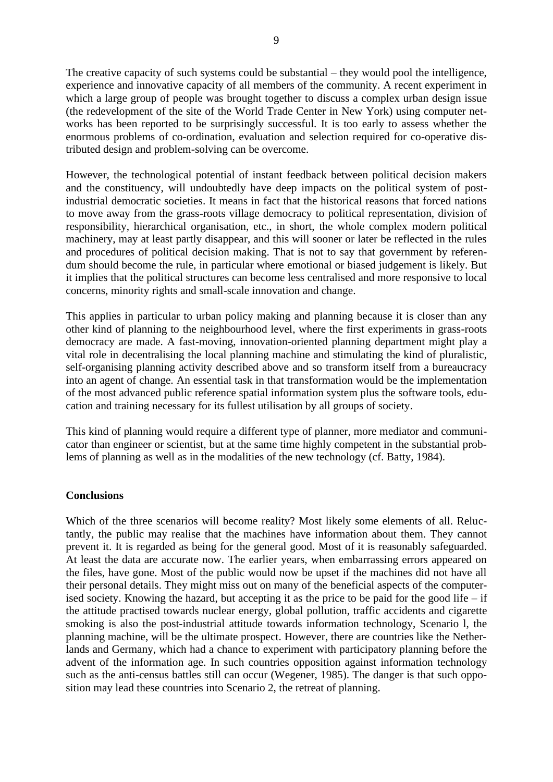The creative capacity of such systems could be substantial – they would pool the intelligence, experience and innovative capacity of all members of the community. A recent experiment in which a large group of people was brought together to discuss a complex urban design issue (the redevelopment of the site of the World Trade Center in New York) using computer networks has been reported to be surprisingly successful. It is too early to assess whether the enormous problems of co-ordination, evaluation and selection required for co-operative distributed design and problem-solving can be overcome.

However, the technological potential of instant feedback between political decision makers and the constituency, will undoubtedly have deep impacts on the political system of postindustrial democratic societies. It means in fact that the historical reasons that forced nations to move away from the grass-roots village democracy to political representation, division of responsibility, hierarchical organisation, etc., in short, the whole complex modern political machinery, may at least partly disappear, and this will sooner or later be reflected in the rules and procedures of political decision making. That is not to say that government by referendum should become the rule, in particular where emotional or biased judgement is likely. But it implies that the political structures can become less centralised and more responsive to local concerns, minority rights and small-scale innovation and change.

This applies in particular to urban policy making and planning because it is closer than any other kind of planning to the neighbourhood level, where the first experiments in grass-roots democracy are made. A fast-moving, innovation-oriented planning department might play a vital role in decentralising the local planning machine and stimulating the kind of pluralistic, self-organising planning activity described above and so transform itself from a bureaucracy into an agent of change. An essential task in that transformation would be the implementation of the most advanced public reference spatial information system plus the software tools, education and training necessary for its fullest utilisation by all groups of society.

This kind of planning would require a different type of planner, more mediator and communicator than engineer or scientist, but at the same time highly competent in the substantial problems of planning as well as in the modalities of the new technology (cf. Batty, 1984).

#### **Conclusions**

Which of the three scenarios will become reality? Most likely some elements of all. Reluctantly, the public may realise that the machines have information about them. They cannot prevent it. It is regarded as being for the general good. Most of it is reasonably safeguarded. At least the data are accurate now. The earlier years, when embarrassing errors appeared on the files, have gone. Most of the public would now be upset if the machines did not have all their personal details. They might miss out on many of the beneficial aspects of the computerised society. Knowing the hazard, but accepting it as the price to be paid for the good life – if the attitude practised towards nuclear energy, global pollution, traffic accidents and cigarette smoking is also the post-industrial attitude towards information technology, Scenario l, the planning machine, will be the ultimate prospect. However, there are countries like the Netherlands and Germany, which had a chance to experiment with participatory planning before the advent of the information age. In such countries opposition against information technology such as the anti-census battles still can occur (Wegener, 1985). The danger is that such opposition may lead these countries into Scenario 2, the retreat of planning.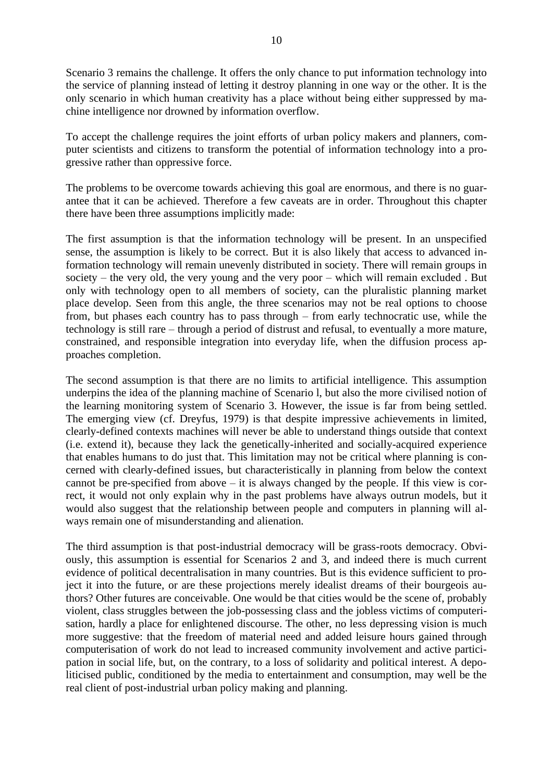Scenario 3 remains the challenge. It offers the only chance to put information technology into the service of planning instead of letting it destroy planning in one way or the other. It is the only scenario in which human creativity has a place without being either suppressed by machine intelligence nor drowned by information overflow.

To accept the challenge requires the joint efforts of urban policy makers and planners, computer scientists and citizens to transform the potential of information technology into a progressive rather than oppressive force.

The problems to be overcome towards achieving this goal are enormous, and there is no guarantee that it can be achieved. Therefore a few caveats are in order. Throughout this chapter there have been three assumptions implicitly made:

The first assumption is that the information technology will be present. In an unspecified sense, the assumption is likely to be correct. But it is also likely that access to advanced information technology will remain unevenly distributed in society. There will remain groups in society – the very old, the very young and the very poor – which will remain excluded . But only with technology open to all members of society, can the pluralistic planning market place develop. Seen from this angle, the three scenarios may not be real options to choose from, but phases each country has to pass through – from early technocratic use, while the technology is still rare – through a period of distrust and refusal, to eventually a more mature, constrained, and responsible integration into everyday life, when the diffusion process approaches completion.

The second assumption is that there are no limits to artificial intelligence. This assumption underpins the idea of the planning machine of Scenario l, but also the more civilised notion of the learning monitoring system of Scenario 3. However, the issue is far from being settled. The emerging view (cf. Dreyfus, 1979) is that despite impressive achievements in limited, clearly-defined contexts machines will never be able to understand things outside that context (i.e. extend it), because they lack the genetically-inherited and socially-acquired experience that enables humans to do just that. This limitation may not be critical where planning is concerned with clearly-defined issues, but characteristically in planning from below the context cannot be pre-specified from above – it is always changed by the people. If this view is correct, it would not only explain why in the past problems have always outrun models, but it would also suggest that the relationship between people and computers in planning will always remain one of misunderstanding and alienation.

The third assumption is that post-industrial democracy will be grass-roots democracy. Obviously, this assumption is essential for Scenarios 2 and 3, and indeed there is much current evidence of political decentralisation in many countries. But is this evidence sufficient to project it into the future, or are these projections merely idealist dreams of their bourgeois authors? Other futures are conceivable. One would be that cities would be the scene of, probably violent, class struggles between the job-possessing class and the jobless victims of computerisation, hardly a place for enlightened discourse. The other, no less depressing vision is much more suggestive: that the freedom of material need and added leisure hours gained through computerisation of work do not lead to increased community involvement and active participation in social life, but, on the contrary, to a loss of solidarity and political interest. A depoliticised public, conditioned by the media to entertainment and consumption, may well be the real client of post-industrial urban policy making and planning.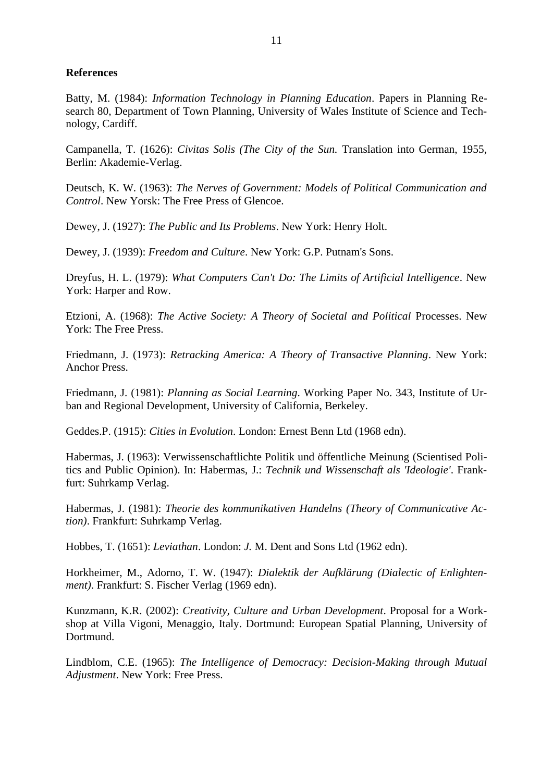#### **References**

Batty, M. (1984): *Information Technology in Planning Education*. Papers in Planning Research 80, Department of Town Planning, University of Wales Institute of Science and Technology, Cardiff.

Campanella, T. (1626): *Civitas Solis (The City of the Sun.* Translation into German, 1955, Berlin: Akademie-Verlag.

Deutsch, K. W. (1963): *The Nerves of Government: Models of Political Communication and Control*. New Yorsk: The Free Press of Glencoe.

Dewey, J. (1927): *The Public and Its Problems*. New York: Henry Holt.

Dewey, J. (1939): *Freedom and Culture*. New York: G.P. Putnam's Sons.

Dreyfus, H. L. (1979): *What Computers Can't Do: The Limits of Artificial Intelligence*. New York: Harper and Row.

Etzioni, A. (1968): *The Active Society: A Theory of Societal and Political* Processes. New York: The Free Press.

Friedmann, J. (1973): *Retracking America: A Theory of Transactive Planning*. New York: Anchor Press.

Friedmann, J. (1981): *Planning as Social Learning*. Working Paper No. 343, Institute of Urban and Regional Development, University of California, Berkeley.

Geddes.P. (1915): *Cities in Evolution*. London: Ernest Benn Ltd (1968 edn).

Habermas, J. (1963): Verwissenschaftlichte Politik und öffentliche Meinung (Scientised Politics and Public Opinion). In: Habermas, J.: *Technik und Wissenschaft als 'Ideologie'*. Frankfurt: Suhrkamp Verlag.

Habermas, J. (1981): *Theorie des kommunikativen Handelns (Theory of Communicative Action)*. Frankfurt: Suhrkamp Verlag.

Hobbes, T. (1651): *Leviathan*. London: *J.* M. Dent and Sons Ltd (1962 edn).

Horkheimer, M., Adorno, T. W. (1947): *Dialektik der Aufklärung (Dialectic of Enlightenment)*. Frankfurt: S. Fischer Verlag (1969 edn).

Kunzmann, K.R. (2002): *Creativity, Culture and Urban Development*. Proposal for a Workshop at Villa Vigoni, Menaggio, Italy. Dortmund: European Spatial Planning, University of Dortmund.

Lindblom, C.E. (1965): *The Intelligence of Democracy: Decision-Making through Mutual Adjustment*. New York: Free Press.